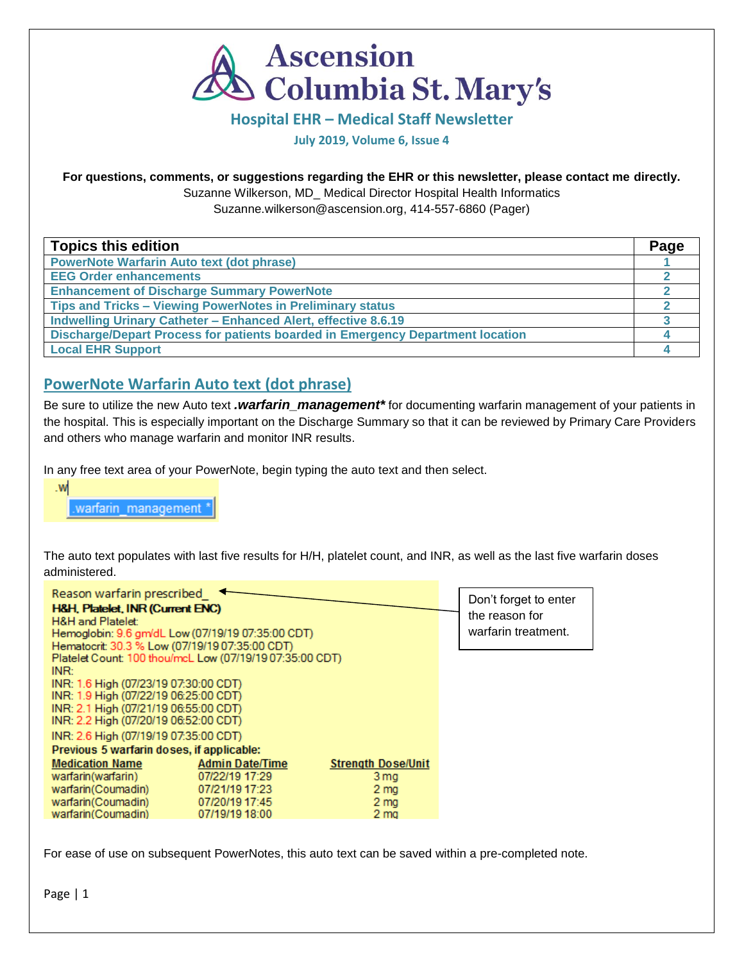

#### **Hospital EHR – Medical Staff Newsletter**

#### **July 2019, Volume 6, Issue 4**

#### **For questions, comments, or suggestions regarding the EHR or this newsletter, please contact me directly.**

Suzanne Wilkerson, MD\_ Medical Director Hospital Health Informatics

Suzanne.wilkerson@ascension.org, 414-557-6860 (Pager)

| <b>Topics this edition</b>                                                     | Page |
|--------------------------------------------------------------------------------|------|
| <b>PowerNote Warfarin Auto text (dot phrase)</b>                               |      |
| <b>EEG Order enhancements</b>                                                  |      |
| <b>Enhancement of Discharge Summary PowerNote</b>                              |      |
| Tips and Tricks - Viewing PowerNotes in Preliminary status                     |      |
| Indwelling Urinary Catheter - Enhanced Alert, effective 8.6.19                 |      |
| Discharge/Depart Process for patients boarded in Emergency Department location |      |
| <b>Local EHR Support</b>                                                       |      |

# **PowerNote Warfarin Auto text (dot phrase)**

Be sure to utilize the new Auto text *.warfarin\_management\** for documenting warfarin management of your patients in the hospital. This is especially important on the Discharge Summary so that it can be reviewed by Primary Care Providers and others who manage warfarin and monitor INR results.

In any free text area of your PowerNote, begin typing the auto text and then select.

 $W<sub>1</sub>$ 

warfarin management \*

The auto text populates with last five results for H/H, platelet count, and INR, as well as the last five warfarin doses administered.

| Reason warfarin prescribed<br>H&H, Platelet, INR (Current ENC)<br>H&H and Platelet:<br>Hemoglobin: 9.6 gm/dL Low (07/19/19 07:35:00 CDT)<br>Hematocrit: 30.3 % Low (07/19/19 07:35:00 CDT)<br>Platelet Count: 100 thou/mcL Low (07/19/19 07:35:00 CDT) |                        |                           | Don't forget to enter<br>the reason for<br>warfarin treatment. |
|--------------------------------------------------------------------------------------------------------------------------------------------------------------------------------------------------------------------------------------------------------|------------------------|---------------------------|----------------------------------------------------------------|
| INR:<br>INR: 1.6 High (07/23/19 07:30:00 CDT)<br>INR: 1.9 High (07/22/19 06:25:00 CDT)<br>INR: 2.1 High (07/21/19 06:55:00 CDT)<br>INR: 2.2 High (07/20/19 06:52:00 CDT)<br>INR: 2.6 High (07/19/19 07:35:00 CDT)                                      |                        |                           |                                                                |
| Previous 5 warfarin doses, if applicable:                                                                                                                                                                                                              |                        |                           |                                                                |
| <b>Medication Name</b>                                                                                                                                                                                                                                 | <b>Admin Date/Time</b> | <b>Strength Dose/Unit</b> |                                                                |
| warfarin(warfarin)                                                                                                                                                                                                                                     | 07/22/19 17:29         | 3 mg                      |                                                                |
| warfarin(Coumadin)                                                                                                                                                                                                                                     | 07/21/19 17:23         | 2 <sub>mg</sub>           |                                                                |
| warfarin(Coumadin)                                                                                                                                                                                                                                     | 07/20/19 17:45         | 2 <sub>mg</sub>           |                                                                |
| warfarin(Coumadin)                                                                                                                                                                                                                                     | 07/19/19 18:00         | 2 ma                      |                                                                |

For ease of use on subsequent PowerNotes, this auto text can be saved within a pre-completed note.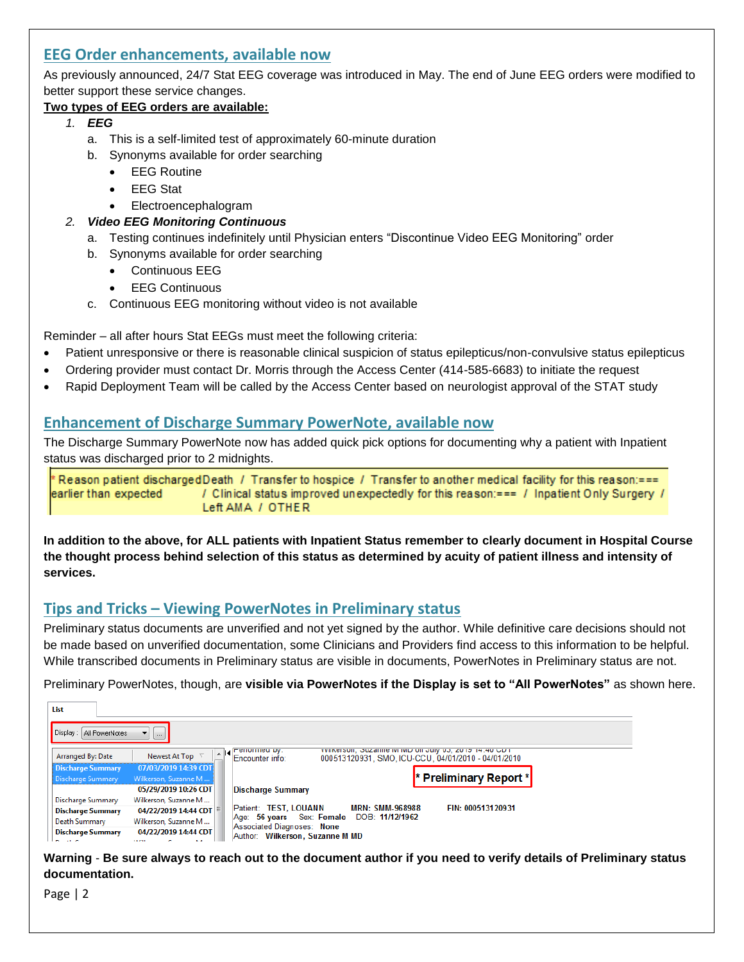# **EEG Order enhancements, available now**

As previously announced, 24/7 Stat EEG coverage was introduced in May. The end of June EEG orders were modified to better support these service changes.

## **Two types of EEG orders are available:**

- *1. EEG* 
	- a. This is a self-limited test of approximately 60-minute duration
	- b. Synonyms available for order searching
		- EEG Routine
		- **EEG Stat**
		- Electroencephalogram

## *2. Video EEG Monitoring Continuous*

- a. Testing continues indefinitely until Physician enters "Discontinue Video EEG Monitoring" order
- b. Synonyms available for order searching
	- Continuous EEG
	- **EEG Continuous**
- c. Continuous EEG monitoring without video is not available

Reminder – all after hours Stat EEGs must meet the following criteria:

- Patient unresponsive or there is reasonable clinical suspicion of status epilepticus/non-convulsive status epilepticus
- Ordering provider must contact Dr. Morris through the Access Center (414-585-6683) to initiate the request
- Rapid Deployment Team will be called by the Access Center based on neurologist approval of the STAT study

# **Enhancement of Discharge Summary PowerNote, available now**

The Discharge Summary PowerNote now has added quick pick options for documenting why a patient with Inpatient status was discharged prior to 2 midnights.

Reason patient discharged Death / Transfer to hospice / Transfer to another medical facility for this reason:=== earlier than expected / Clinical status improved unexpectedly for this reason:=== / Inpatient Only Surgery / Left AMA / OTHER

**In addition to the above, for ALL patients with Inpatient Status remember to clearly document in Hospital Course the thought process behind selection of this status as determined by acuity of patient illness and intensity of services.**

# **Tips and Tricks – Viewing PowerNotes in Preliminary status**

Preliminary status documents are unverified and not yet signed by the author. While definitive care decisions should not be made based on unverified documentation, some Clinicians and Providers find access to this information to be helpful. While transcribed documents in Preliminary status are visible in documents, PowerNotes in Preliminary status are not.

Preliminary PowerNotes, though, are **visible via PowerNotes if the Display is set to "All PowerNotes"** as shown here.

| List                       |                        |                                                                                                                                                                                                    |
|----------------------------|------------------------|----------------------------------------------------------------------------------------------------------------------------------------------------------------------------------------------------|
| Display :   All PowerNotes | $\ldots$               |                                                                                                                                                                                                    |
| Arranged By: Date          | Newest At Top $\nabla$ | VVIINCISUIT, OUZINHE IVENID UN JUIV 03, 2013 14:40 GDT<br>$\mathbb{E}[\mathbf{A}][\mathbf{A}]$ <b>Exploration by Eq.</b><br>Encounter info:<br>000513120931, SMO. ICU-CCU, 04/01/2010 - 04/01/2010 |
| <b>Discharge Summary</b>   | 07/03/2019 14:39 CDT   |                                                                                                                                                                                                    |
| Discharge Summary          | Wilkerson, Suzanne M   | * Preliminary Report *                                                                                                                                                                             |
|                            | 05/29/2019 10:26 CDT   | <b>Discharge Summary</b>                                                                                                                                                                           |
| Discharge Summary          | Wilkerson, Suzanne M   |                                                                                                                                                                                                    |
| <b>Discharge Summary</b>   | 04/22/2019 14:44 CDT   | Patient: TEST, LOUANN<br>FIN: 000513120931<br><b>MRN: SMM-968988</b>                                                                                                                               |
| Death Summary              | Wilkerson, Suzanne M   | Sex: Female DOB: 11/12/1962<br>$Aq$ e: 56 years                                                                                                                                                    |
| <b>Discharge Summary</b>   | 04/22/2019 14:44 CDT   | Associated Diagnoses: None<br>Author: Wilkerson, Suzanne M MD                                                                                                                                      |
| .                          |                        |                                                                                                                                                                                                    |

**Warning** - **Be sure always to reach out to the document author if you need to verify details of Preliminary status documentation.**

Page | 2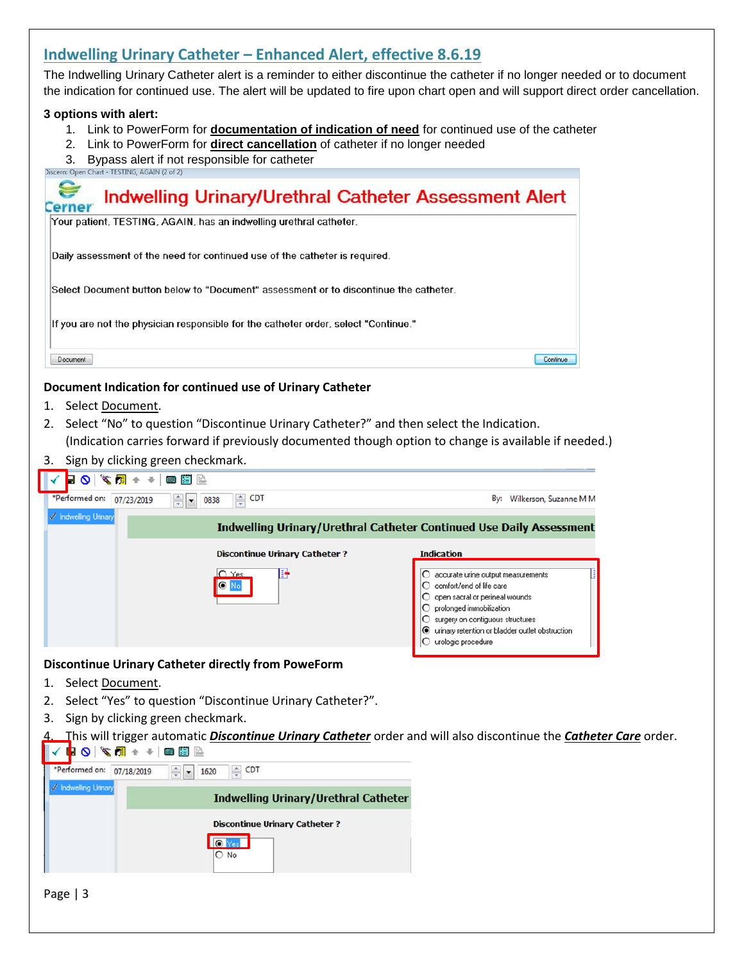# **Indwelling Urinary Catheter – Enhanced Alert, effective 8.6.19**

The Indwelling Urinary Catheter alert is a reminder to either discontinue the catheter if no longer needed or to document the indication for continued use. The alert will be updated to fire upon chart open and will support direct order cancellation.

#### **3 options with alert:**

- 1. Link to PowerForm for **documentation of indication of need** for continued use of the catheter
- 2. Link to PowerForm for **direct cancellation** of catheter if no longer needed
- $3.$  Bypass alert if not responsible for catheter  $2$  Discern: Open Chart TESTING, AGAIN (2 of 2)



## **Document Indication for continued use of Urinary Catheter**

- 1. Select Document.
- 2. Select "No" to question "Discontinue Urinary Catheter?" and then select the Indication. (Indication carries forward if previously documented though option to change is available if needed.)
- 3. Sign by clicking green checkmark.

| $\blacksquare \; \blacksquare \; \blacksquare \; \blacksquare \; \blacksquare \; \blacksquare \; \blacksquare \; \blacksquare \; \blacksquare \; \blacksquare \; \blacksquare$ |                                                                      |                                                                                                                                                                                                                                                                  |
|--------------------------------------------------------------------------------------------------------------------------------------------------------------------------------|----------------------------------------------------------------------|------------------------------------------------------------------------------------------------------------------------------------------------------------------------------------------------------------------------------------------------------------------|
| *Performed on:<br>停<br>07/23/2019                                                                                                                                              | $\Rightarrow$ CDT<br>0838<br>۰                                       | By:<br>Wilkerson, Suzanne M M                                                                                                                                                                                                                                    |
| <b>√</b> Indwelling Urinary                                                                                                                                                    |                                                                      | Indwelling Urinary/Urethral Catheter Continued Use Daily Assessment                                                                                                                                                                                              |
|                                                                                                                                                                                | <b>Discontinue Urinary Catheter?</b><br>$O$ Yes<br>в<br><b>O</b> No. | <b>Indication</b><br>accurate urine output measurements<br>comfort/end of life care<br>open sacral or perineal wounds<br>prolonged immobilization<br>surgery on contiguous structures<br>◯ urinary retention or bladder outlet obstruction<br>urologic procedure |
|                                                                                                                                                                                |                                                                      |                                                                                                                                                                                                                                                                  |

#### **Discontinue Urinary Catheter directly from PoweForm**

- 1. Select Document.
- 2. Select "Yes" to question "Discontinue Urinary Catheter?".
- 3. Sign by clicking green checkmark.
- 4. This will trigger automatic *Discontinue Urinary Catheter* order and will also discontinue the *Catheter Care* order.

| ₩◘ ❤ख़++ ■⊠ ≝                |                                                |  |
|------------------------------|------------------------------------------------|--|
| *Performed on:<br>07/18/2019 | $\frac{4}{7}$<br><b>CDT</b><br>$\cdot$<br>1620 |  |
| Indwelling Unnary            | <b>Indwelling Urinary/Urethral Catheter</b>    |  |
|                              | <b>Discontinue Urinary Catheter?</b>           |  |
|                              | Yesl<br>No                                     |  |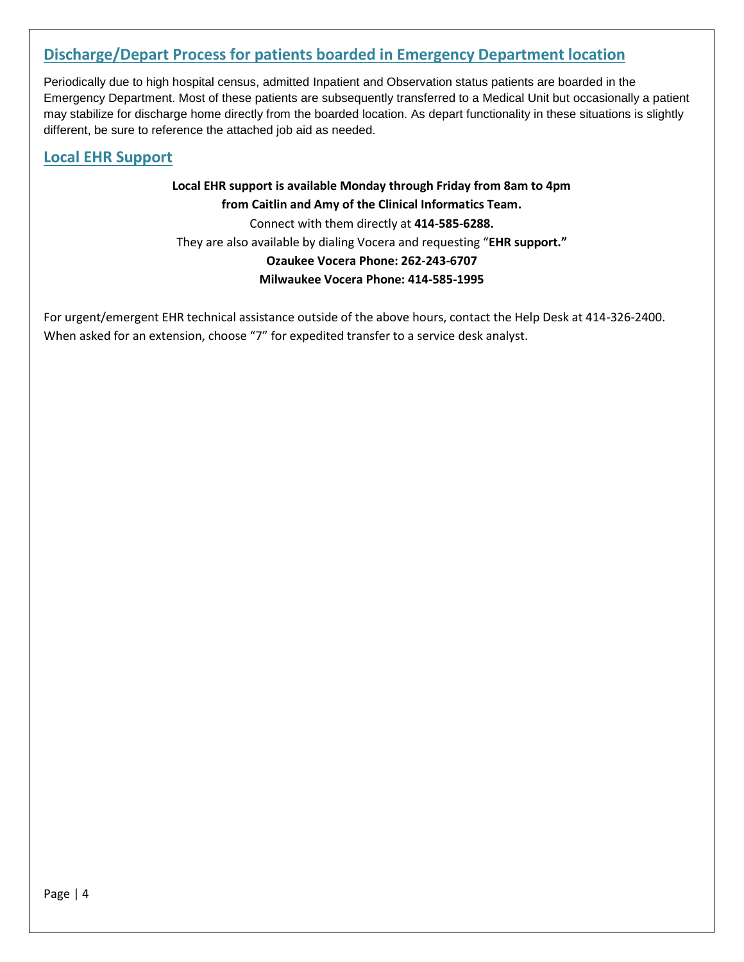# **Discharge/Depart Process for patients boarded in Emergency Department location**

Periodically due to high hospital census, admitted Inpatient and Observation status patients are boarded in the Emergency Department. Most of these patients are subsequently transferred to a Medical Unit but occasionally a patient may stabilize for discharge home directly from the boarded location. As depart functionality in these situations is slightly different, be sure to reference the attached job aid as needed.

## **Local EHR Support**

# **Local EHR support is available Monday through Friday from 8am to 4pm from Caitlin and Amy of the Clinical Informatics Team.** Connect with them directly at **414-585-6288.** They are also available by dialing Vocera and requesting "**EHR support." Ozaukee Vocera Phone: 262-243-6707 Milwaukee Vocera Phone: 414-585-1995**

For urgent/emergent EHR technical assistance outside of the above hours, contact the Help Desk at 414-326-2400. When asked for an extension, choose "7" for expedited transfer to a service desk analyst.